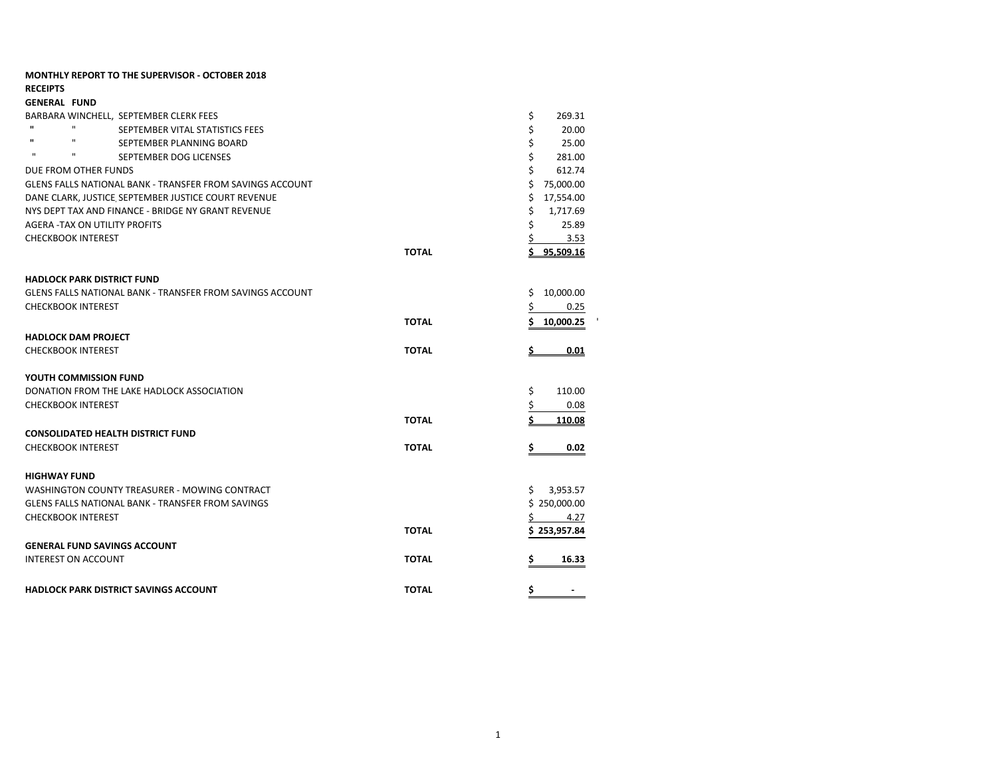|                     | <b>MONTHLY REPORT TO THE SUPERVISOR - OCTOBER 2018</b>           |              |                      |
|---------------------|------------------------------------------------------------------|--------------|----------------------|
| <b>RECEIPTS</b>     |                                                                  |              |                      |
| <b>GENERAL FUND</b> |                                                                  |              |                      |
|                     | BARBARA WINCHELL, SEPTEMBER CLERK FEES                           |              | \$<br>269.31         |
|                     | $\mathbf{H}$<br>SEPTEMBER VITAL STATISTICS FEES                  |              | \$<br>20.00          |
| $\mathbf{u}$        | H.<br>SEPTEMBER PLANNING BOARD                                   |              | \$<br>25.00          |
| $\mathbf{u}$        | ш<br>SEPTEMBER DOG LICENSES                                      |              | \$<br>281.00         |
|                     | DUE FROM OTHER FUNDS                                             |              | \$<br>612.74         |
|                     | <b>GLENS FALLS NATIONAL BANK - TRANSFER FROM SAVINGS ACCOUNT</b> |              | \$<br>75,000.00      |
|                     | DANE CLARK, JUSTICE, SEPTEMBER JUSTICE COURT REVENUE             |              | 17,554.00<br>\$.     |
|                     | NYS DEPT TAX AND FINANCE - BRIDGE NY GRANT REVENUE               |              | \$<br>1,717.69       |
|                     | AGERA -TAX ON UTILITY PROFITS                                    |              | \$<br>25.89          |
|                     | <b>CHECKBOOK INTEREST</b>                                        |              | 3.53                 |
|                     |                                                                  | <b>TOTAL</b> | <u>\$95,509.16</u>   |
|                     | <b>HADLOCK PARK DISTRICT FUND</b>                                |              |                      |
|                     | <b>GLENS FALLS NATIONAL BANK - TRANSFER FROM SAVINGS ACCOUNT</b> |              | 10,000.00<br>\$      |
|                     | <b>CHECKBOOK INTEREST</b>                                        |              | 0.25<br>Ş.           |
|                     |                                                                  | <b>TOTAL</b> | 10,000.25            |
|                     | <b>HADLOCK DAM PROJECT</b>                                       |              |                      |
|                     | <b>CHECKBOOK INTEREST</b>                                        | <b>TOTAL</b> | 0.01                 |
|                     | YOUTH COMMISSION FUND                                            |              |                      |
|                     | DONATION FROM THE LAKE HADLOCK ASSOCIATION                       |              | \$<br>110.00         |
|                     | <b>CHECKBOOK INTEREST</b>                                        |              | 0.08                 |
|                     |                                                                  | <b>TOTAL</b> | 110.08               |
|                     | <b>CONSOLIDATED HEALTH DISTRICT FUND</b>                         |              |                      |
|                     | <b>CHECKBOOK INTEREST</b>                                        | <b>TOTAL</b> | \$<br>0.02           |
| <b>HIGHWAY FUND</b> |                                                                  |              |                      |
|                     | WASHINGTON COUNTY TREASURER - MOWING CONTRACT                    |              | \$3,953.57           |
|                     | <b>GLENS FALLS NATIONAL BANK - TRANSFER FROM SAVINGS</b>         |              | \$250,000.00         |
|                     | <b>CHECKBOOK INTEREST</b>                                        |              | $5 \t 4.27$          |
|                     |                                                                  | <b>TOTAL</b> | \$253,957.84         |
|                     | <b>GENERAL FUND SAVINGS ACCOUNT</b>                              |              |                      |
|                     | <b>INTEREST ON ACCOUNT</b>                                       | <b>TOTAL</b> | 16.33<br>s           |
|                     |                                                                  |              |                      |
|                     | <b>HADLOCK PARK DISTRICT SAVINGS ACCOUNT</b>                     | <b>TOTAL</b> | \$<br>$\blacksquare$ |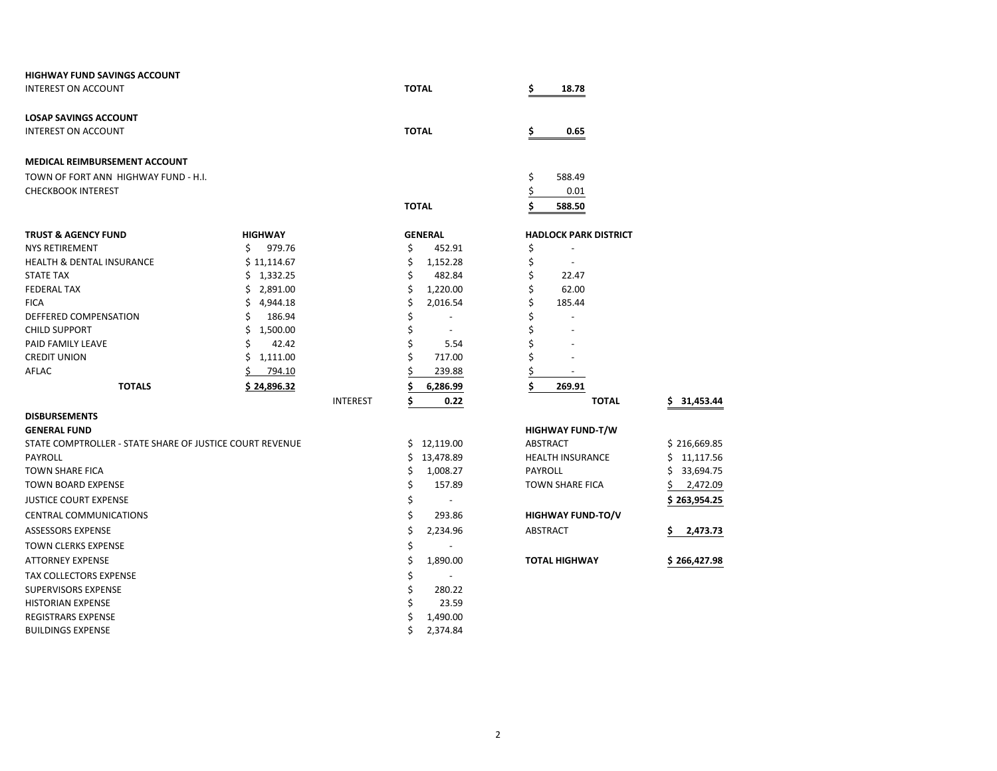| <b>HIGHWAY FUND SAVINGS ACCOUNT</b>                      |                 |                                |                               |                 |
|----------------------------------------------------------|-----------------|--------------------------------|-------------------------------|-----------------|
| <b>INTEREST ON ACCOUNT</b>                               |                 | <b>TOTAL</b>                   | \$<br>18.78                   |                 |
| <b>LOSAP SAVINGS ACCOUNT</b>                             |                 |                                |                               |                 |
| <b>INTEREST ON ACCOUNT</b>                               |                 | <b>TOTAL</b>                   | \$<br>0.65                    |                 |
| MEDICAL REIMBURSEMENT ACCOUNT                            |                 |                                |                               |                 |
| TOWN OF FORT ANN HIGHWAY FUND - H.I.                     |                 |                                | \$<br>588.49                  |                 |
| <b>CHECKBOOK INTEREST</b>                                |                 |                                | \$<br>0.01                    |                 |
|                                                          |                 | <b>TOTAL</b>                   | \$<br>588.50                  |                 |
| <b>TRUST &amp; AGENCY FUND</b>                           | <b>HIGHWAY</b>  | <b>GENERAL</b>                 | <b>HADLOCK PARK DISTRICT</b>  |                 |
| <b>NYS RETIREMENT</b>                                    | Ś.<br>979.76    | \$<br>452.91                   | \$                            |                 |
| <b>HEALTH &amp; DENTAL INSURANCE</b>                     | \$11,114.67     | \$<br>1,152.28                 | \$                            |                 |
| <b>STATE TAX</b>                                         | \$1,332.25      | \$<br>482.84                   | \$<br>22.47                   |                 |
| <b>FEDERAL TAX</b>                                       | \$2,891.00      | \$<br>1,220.00                 | \$<br>62.00                   |                 |
| <b>FICA</b>                                              | \$4,944.18      | \$<br>2,016.54                 | \$<br>185.44                  |                 |
| DEFFERED COMPENSATION                                    | 186.94<br>Ś     | \$<br>$\overline{a}$           | Ś<br>$\overline{\phantom{a}}$ |                 |
| <b>CHILD SUPPORT</b>                                     | 1,500.00<br>Ś   | \$                             |                               |                 |
| PAID FAMILY LEAVE                                        | 42.42<br>Ś      | \$<br>5.54                     | \$                            |                 |
| <b>CREDIT UNION</b>                                      | \$1,111.00      | Ś<br>717.00                    | \$                            |                 |
| AFLAC                                                    | 794.10          | 239.88                         |                               |                 |
| <b>TOTALS</b>                                            | \$24,896.32     | 6,286.99                       | \$<br>269.91                  |                 |
|                                                          | <b>INTEREST</b> | Ś<br>0.22                      | <b>TOTAL</b>                  | 31,453.44       |
| <b>DISBURSEMENTS</b>                                     |                 |                                |                               |                 |
| <b>GENERAL FUND</b>                                      |                 |                                | <b>HIGHWAY FUND-T/W</b>       |                 |
| STATE COMPTROLLER - STATE SHARE OF JUSTICE COURT REVENUE |                 | \$12,119.00                    | <b>ABSTRACT</b>               | \$216,669.85    |
| PAYROLL                                                  |                 | \$.<br>13,478.89               | <b>HEALTH INSURANCE</b>       | 11,117.56<br>\$ |
| <b>TOWN SHARE FICA</b>                                   |                 | \$<br>1,008.27                 | PAYROLL                       | 33,694.75<br>Ś  |
| <b>TOWN BOARD EXPENSE</b>                                |                 | \$<br>157.89                   | <b>TOWN SHARE FICA</b>        | 2,472.09        |
| <b>JUSTICE COURT EXPENSE</b>                             |                 | \$<br>$\overline{\phantom{a}}$ |                               | \$ 263,954.25   |
| <b>CENTRAL COMMUNICATIONS</b>                            |                 | \$<br>293.86                   | <b>HIGHWAY FUND-TO/V</b>      |                 |
| <b>ASSESSORS EXPENSE</b>                                 |                 | \$<br>2,234.96                 | ABSTRACT                      | 2,473.73        |
| TOWN CLERKS EXPENSE                                      |                 | \$                             |                               |                 |
| <b>ATTORNEY EXPENSE</b>                                  |                 | \$<br>1,890.00                 | <b>TOTAL HIGHWAY</b>          | \$266,427.98    |
| <b>TAX COLLECTORS EXPENSE</b>                            |                 | \$                             |                               |                 |
| <b>SUPERVISORS EXPENSE</b>                               |                 | Ś<br>280.22                    |                               |                 |
| <b>HISTORIAN EXPENSE</b>                                 |                 | Ś<br>23.59                     |                               |                 |
| REGISTRARS EXPENSE                                       |                 | 1,490.00<br>\$                 |                               |                 |
| <b>BUILDINGS EXPENSE</b>                                 |                 | \$<br>2,374.84                 |                               |                 |

| ADLOCK PARK DISTRICT   |                |
|------------------------|----------------|
|                        |                |
|                        |                |
| 22.47                  |                |
| 62.00                  |                |
| 185.44                 |                |
|                        |                |
|                        |                |
|                        |                |
|                        |                |
|                        |                |
| 269.91                 |                |
| <b>TOTAL</b>           | \$31,453.4     |
| <b>IGHWAY FUND-T/W</b> |                |
| <b>BSTRACT</b>         | \$216,669.8    |
| <b>EALTH INSURANCE</b> | \$11,117.5     |
| AYROLL                 | \$33,694.7     |
| <b>OWN SHARE FICA</b>  | \$<br>2,472.0  |
|                        | \$263,954.2    |
| <b>GHWAY FUND-TO/V</b> |                |
| <b>BSTRACT</b>         | \$.<br>2,473.7 |
|                        |                |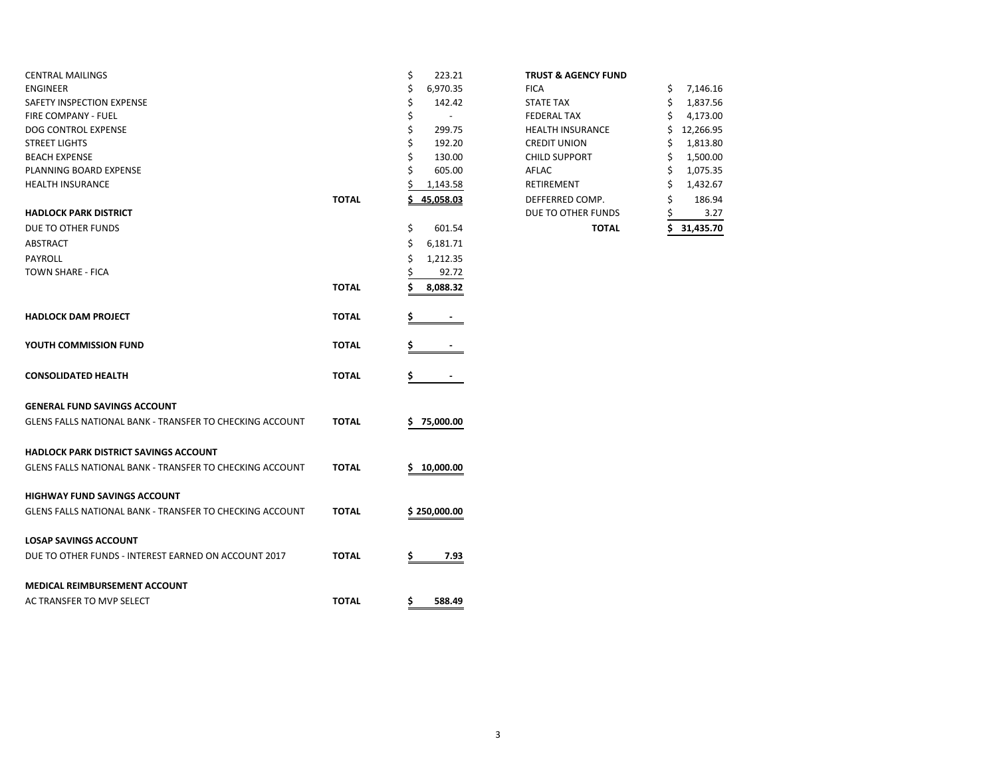| <b>CENTRAL MAILINGS</b>                                         |              | \$<br>223.21                   | <b>TRUST &amp; AGENCY FUND</b> |                |
|-----------------------------------------------------------------|--------------|--------------------------------|--------------------------------|----------------|
| <b>ENGINEER</b>                                                 |              | \$<br>6,970.35                 | <b>FICA</b>                    | \$<br>7,146.16 |
| SAFETY INSPECTION EXPENSE                                       |              | \$<br>142.42                   | <b>STATE TAX</b>               | \$<br>1,837.56 |
| FIRE COMPANY - FUEL                                             |              | \$<br>$\overline{\phantom{a}}$ | <b>FEDERAL TAX</b>             | 4,173.00<br>S  |
| DOG CONTROL EXPENSE                                             |              | \$<br>299.75                   | <b>HEALTH INSURANCE</b>        | 12,266.95      |
| <b>STREET LIGHTS</b>                                            |              | \$<br>192.20                   | <b>CREDIT UNION</b>            | 1,813.80       |
| <b>BEACH EXPENSE</b>                                            |              | Ś<br>130.00                    | <b>CHILD SUPPORT</b>           | 1,500.00       |
| PLANNING BOARD EXPENSE                                          |              | 605.00<br>Ś                    | AFLAC                          | 1,075.35<br>S  |
| <b>HEALTH INSURANCE</b>                                         |              | 1,143.58                       | RETIREMENT                     | 1,432.67<br>\$ |
|                                                                 | <b>TOTAL</b> | 45,058.03                      | DEFFERRED COMP.                | 186.94<br>Ś    |
| <b>HADLOCK PARK DISTRICT</b>                                    |              |                                | DUE TO OTHER FUNDS             | 3.27           |
| DUE TO OTHER FUNDS                                              |              | \$<br>601.54                   | <b>TOTAL</b>                   | 31,435.70      |
| ABSTRACT                                                        |              | \$<br>6,181.71                 |                                |                |
| PAYROLL                                                         |              | 1,212.35<br>\$                 |                                |                |
| <b>TOWN SHARE - FICA</b>                                        |              | 92.72                          |                                |                |
|                                                                 | <b>TOTAL</b> | Ś<br>8,088.32                  |                                |                |
|                                                                 |              |                                |                                |                |
| <b>HADLOCK DAM PROJECT</b>                                      | <b>TOTAL</b> |                                |                                |                |
|                                                                 |              |                                |                                |                |
| YOUTH COMMISSION FUND                                           | <b>TOTAL</b> |                                |                                |                |
|                                                                 |              |                                |                                |                |
| <b>CONSOLIDATED HEALTH</b>                                      | <b>TOTAL</b> | \$                             |                                |                |
|                                                                 |              |                                |                                |                |
| <b>GENERAL FUND SAVINGS ACCOUNT</b>                             |              |                                |                                |                |
|                                                                 |              |                                |                                |                |
| GLENS FALLS NATIONAL BANK - TRANSFER TO CHECKING ACCOUNT        | <b>TOTAL</b> | 75,000.00<br>\$.               |                                |                |
|                                                                 |              |                                |                                |                |
| <b>HADLOCK PARK DISTRICT SAVINGS ACCOUNT</b>                    |              |                                |                                |                |
| <b>GLENS FALLS NATIONAL BANK - TRANSFER TO CHECKING ACCOUNT</b> | <b>TOTAL</b> | 10,000.00<br>S.                |                                |                |
|                                                                 |              |                                |                                |                |
| <b>HIGHWAY FUND SAVINGS ACCOUNT</b>                             |              |                                |                                |                |
| GLENS FALLS NATIONAL BANK - TRANSFER TO CHECKING ACCOUNT        | <b>TOTAL</b> | \$250,000.00                   |                                |                |
|                                                                 |              |                                |                                |                |
| <b>LOSAP SAVINGS ACCOUNT</b>                                    |              |                                |                                |                |
| DUE TO OTHER FUNDS - INTEREST EARNED ON ACCOUNT 2017            | <b>TOTAL</b> | 7.93<br>Ş.                     |                                |                |
|                                                                 |              |                                |                                |                |
| <b>MEDICAL REIMBURSEMENT ACCOUNT</b>                            |              |                                |                                |                |
| AC TRANSFER TO MVP SELECT                                       | <b>TOTAL</b> | \$<br>588.49                   |                                |                |
|                                                                 |              |                                |                                |                |

|  |  | <b>TRUST &amp; AGENCY FUND</b> |  |
|--|--|--------------------------------|--|
|--|--|--------------------------------|--|

|       | \$<br>601.54                       | <b>TOTAL</b>            | 31,435.70       |
|-------|------------------------------------|-------------------------|-----------------|
|       |                                    | DUE TO OTHER FUNDS      | 3.27            |
| TOTAL | 45,058.03                          | DEFFERRED COMP.         | \$<br>186.94    |
|       | 1,143.58                           | <b>RETIREMENT</b>       | \$<br>1,432.67  |
|       | \$<br>605.00                       | AFLAC                   | \$<br>1,075.35  |
|       | \$<br>130.00                       | <b>CHILD SUPPORT</b>    | \$<br>1,500.00  |
|       | \$<br>192.20                       | <b>CREDIT UNION</b>     | \$<br>1,813.80  |
|       | \$<br>299.75                       | <b>HEALTH INSURANCE</b> | \$<br>12,266.95 |
|       | \$<br>$\qquad \qquad \blacksquare$ | <b>FEDERAL TAX</b>      | \$<br>4,173.00  |
|       | \$<br>142.42                       | <b>STATE TAX</b>        | \$<br>1,837.56  |
|       | \$<br>6,970.35                     | <b>FICA</b>             | \$<br>7,146.16  |